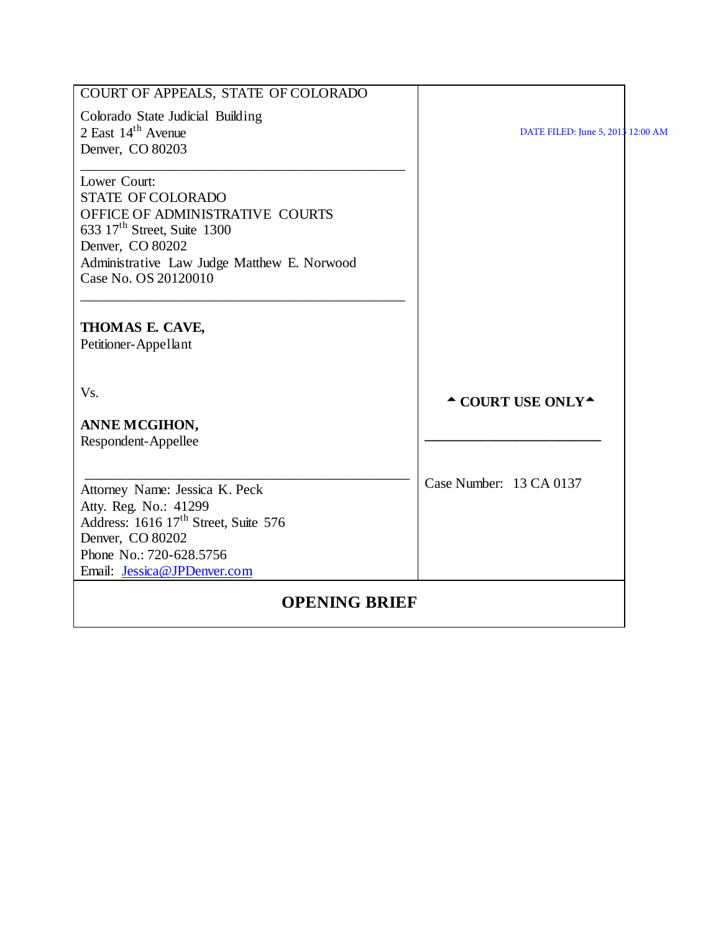| <b>OPENING BRIEF</b>                                                       |                                        |  |  |
|----------------------------------------------------------------------------|----------------------------------------|--|--|
| Email: Jessica@JPDenver.com                                                |                                        |  |  |
| Phone No.: 720-628.5756                                                    |                                        |  |  |
| Denver, CO 80202                                                           |                                        |  |  |
| Address: 1616 17 <sup>th</sup> Street, Suite 576                           |                                        |  |  |
| Atty. Reg. No.: 41299                                                      |                                        |  |  |
| Attorney Name: Jessica K. Peck                                             | Case Number: 13 CA 0137                |  |  |
| Respondent-Appellee                                                        |                                        |  |  |
| ANNE MCGIHON,                                                              |                                        |  |  |
| Vs.                                                                        | $\triangle$ COURT USE ONLY $\triangle$ |  |  |
| Petitioner-Appellant                                                       |                                        |  |  |
| THOMAS E. CAVE,                                                            |                                        |  |  |
| Case No. OS 20120010                                                       |                                        |  |  |
| Administrative Law Judge Matthew E. Norwood                                |                                        |  |  |
| Denver, CO 80202                                                           |                                        |  |  |
| OFFICE OF ADMINISTRATIVE COURTS<br>633 17 <sup>th</sup> Street, Suite 1300 |                                        |  |  |
| <b>STATE OF COLORADO</b>                                                   |                                        |  |  |
| Lower Court:                                                               |                                        |  |  |
| Denver, CO 80203                                                           |                                        |  |  |
| 2 East $14th$ Avenue                                                       | DATE FILED: June 5, 2013 12:00 AM      |  |  |
| Colorado State Judicial Building                                           |                                        |  |  |
| COURT OF APPEALS, STATE OF COLORADO                                        |                                        |  |  |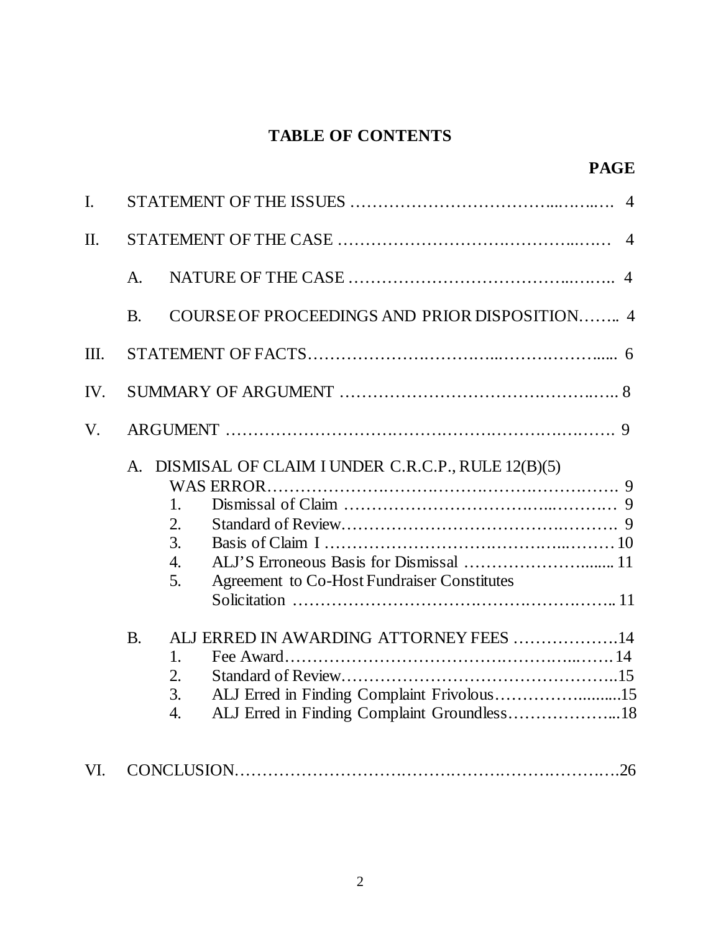# **TABLE OF CONTENTS**

| $\mathbf{I}$ . |                                        |                                                                                                                                                                                                                                                                                                                                                               |  |
|----------------|----------------------------------------|---------------------------------------------------------------------------------------------------------------------------------------------------------------------------------------------------------------------------------------------------------------------------------------------------------------------------------------------------------------|--|
| II.            |                                        |                                                                                                                                                                                                                                                                                                                                                               |  |
|                | A.                                     |                                                                                                                                                                                                                                                                                                                                                               |  |
|                | <b>B.</b>                              | COURSE OF PROCEEDINGS AND PRIOR DISPOSITION 4                                                                                                                                                                                                                                                                                                                 |  |
| Ш.             |                                        |                                                                                                                                                                                                                                                                                                                                                               |  |
| IV.            |                                        |                                                                                                                                                                                                                                                                                                                                                               |  |
| V.             |                                        |                                                                                                                                                                                                                                                                                                                                                               |  |
|                | $\mathbf{A}_{\cdot}$<br>$\mathbf{B}$ . | DISMISAL OF CLAIM I UNDER C.R.C.P., RULE 12(B)(5)<br>1.<br>2.<br>3.<br>ALJ'S Erroneous Basis for Dismissal  11<br>$\overline{4}$ .<br><b>Agreement to Co-Host Fundraiser Constitutes</b><br>5.<br>ALJ ERRED IN AWARDING ATTORNEY FEES 14<br>1.<br>2.<br>ALJ Erred in Finding Complaint Frivolous15<br>3.<br>ALJ Erred in Finding Complaint Groundless18<br>4. |  |
| VI.            |                                        |                                                                                                                                                                                                                                                                                                                                                               |  |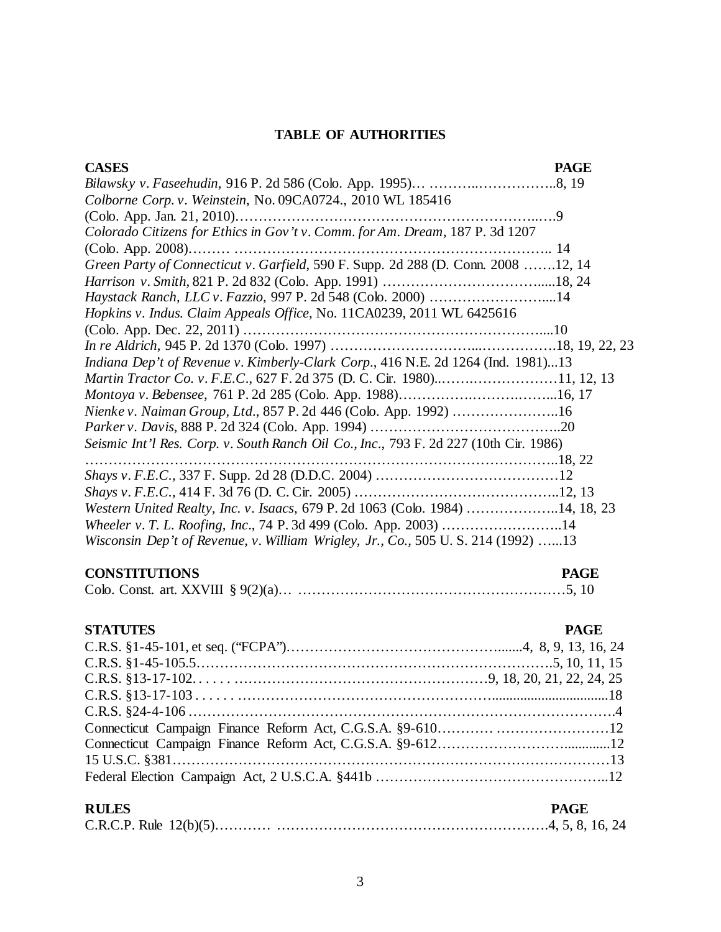# **TABLE OF AUTHORITIES**

| <b>CASES</b>                                                                          | <b>PAGE</b> |
|---------------------------------------------------------------------------------------|-------------|
|                                                                                       |             |
| Colborne Corp. v. Weinstein, No. 09CA0724., 2010 WL 185416                            |             |
|                                                                                       |             |
| Colorado Citizens for Ethics in Gov't v. Comm. for Am. Dream, 187 P. 3d 1207          |             |
|                                                                                       |             |
| Green Party of Connecticut v. Garfield, 590 F. Supp. 2d 288 (D. Conn. 2008 12, 14     |             |
|                                                                                       |             |
| Haystack Ranch, LLC v. Fazzio, 997 P. 2d 548 (Colo. 2000) 14                          |             |
| Hopkins v. Indus. Claim Appeals Office, No. 11CA0239, 2011 WL 6425616                 |             |
|                                                                                       |             |
|                                                                                       |             |
| Indiana Dep't of Revenue v. Kimberly-Clark Corp., 416 N.E. 2d 1264 (Ind. 1981)13      |             |
| Martin Tractor Co. v. F.E.C., 627 F. 2d 375 (D. C. Cir. 1980)11, 12, 13               |             |
|                                                                                       |             |
| Nienke v. Naiman Group, Ltd., 857 P. 2d 446 (Colo. App. 1992) 16                      |             |
|                                                                                       |             |
| Seismic Int'l Res. Corp. v. South Ranch Oil Co., Inc., 793 F. 2d 227 (10th Cir. 1986) |             |
|                                                                                       |             |
|                                                                                       |             |
|                                                                                       |             |
| Western United Realty, Inc. v. Isaacs, 679 P. 2d 1063 (Colo. 1984) 14, 18, 23         |             |
| Wheeler v. T. L. Roofing, Inc., 74 P. 3d 499 (Colo. App. 2003) 14                     |             |
| Wisconsin Dep't of Revenue, v. William Wrigley, Jr., Co., 505 U.S. 214 (1992) 13      |             |
|                                                                                       |             |

# **CONSTITUTIONS PAGE**

| ------ |
|--------|
|        |

# **STATUTES PAGE**

| <b>RULES</b> | <b>PAGE</b> |  |
|--------------|-------------|--|
|              |             |  |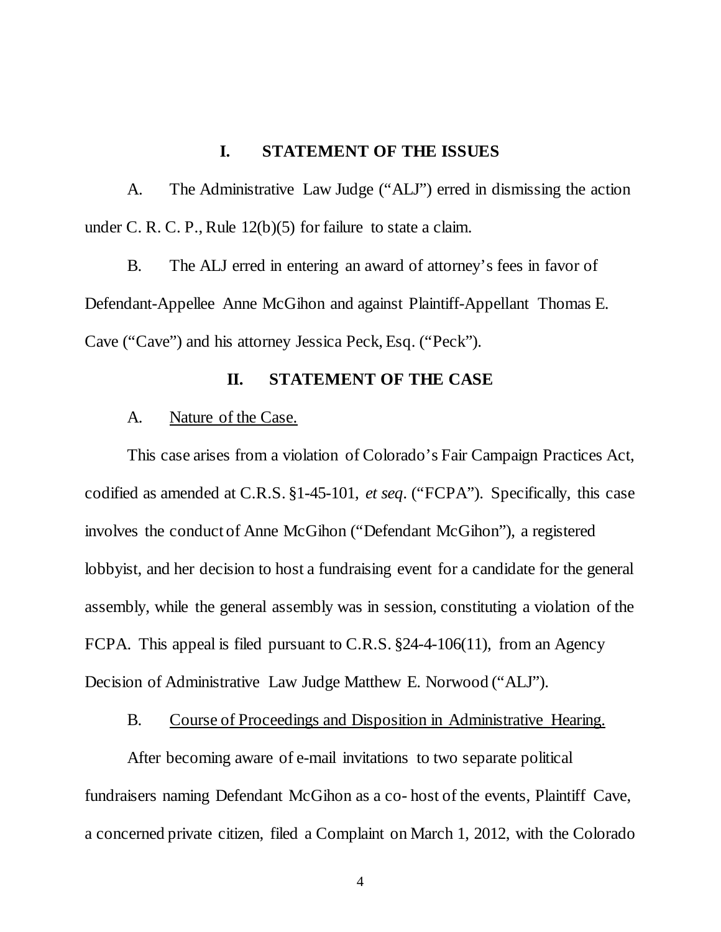# **I. STATEMENT OF THE ISSUES**

A. The Administrative Law Judge ("ALJ") erred in dismissing the action under C. R. C. P., Rule 12(b)(5) for failure to state a claim.

B. The ALJ erred in entering an award of attorney's fees in favor of Defendant-Appellee Anne McGihon and against Plaintiff-Appellant Thomas E. Cave ("Cave") and his attorney Jessica Peck, Esq. ("Peck").

# **II. STATEMENT OF THE CASE**

#### A. Nature of the Case.

This case arises from a violation of Colorado's Fair Campaign Practices Act, codified as amended at C.R.S. §1-45-101, *et seq.* ("FCPA"). Specifically, this case involves the conduct of Anne McGihon ("Defendant McGihon"), a registered lobbyist, and her decision to host a fundraising event for a candidate for the general assembly, while the general assembly was in session, constituting a violation of the FCPA. This appeal is filed pursuant to C.R.S. §24-4-106(11), from an Agency Decision of Administrative Law Judge Matthew E. Norwood ("ALJ").

# B. Course of Proceedings and Disposition in Administrative Hearing.

After becoming aware of e-mail invitations to two separate political fundraisers naming Defendant McGihon as a co- host of the events, Plaintiff Cave, a concerned private citizen, filed a Complaint on March 1, 2012, with the Colorado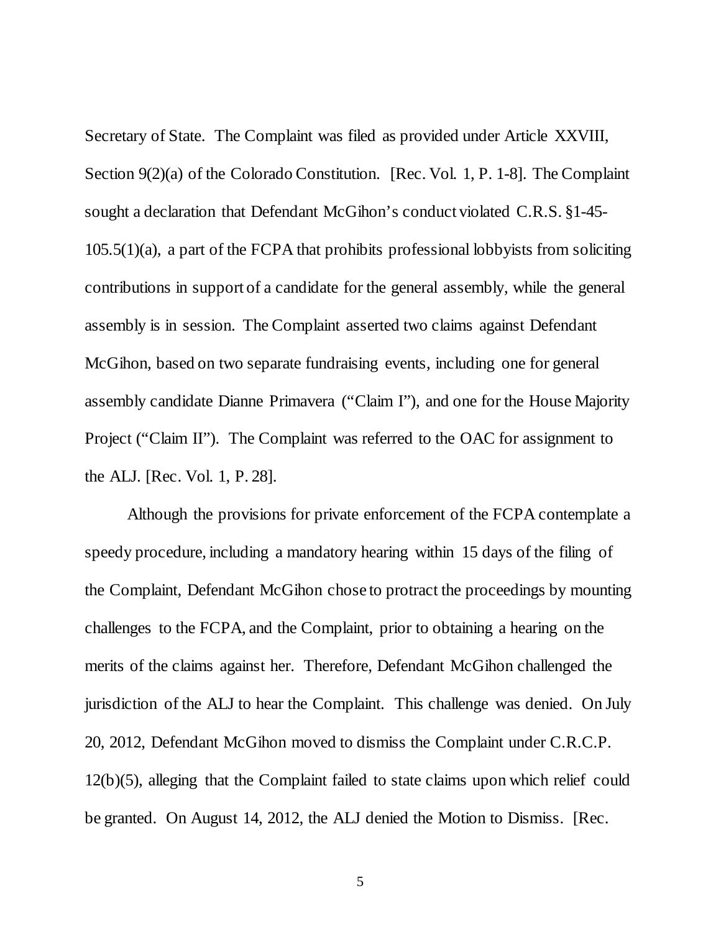Secretary of State. The Complaint was filed as provided under Article XXVIII, Section 9(2)(a) of the Colorado Constitution. [Rec. Vol. 1, P. 1-8]. The Complaint sought a declaration that Defendant McGihon's conduct violated C.R.S. §1-45- 105.5(1)(a), a part of the FCPA that prohibits professional lobbyists from soliciting contributions in support of a candidate for the general assembly, while the general assembly is in session. The Complaint asserted two claims against Defendant McGihon, based on two separate fundraising events, including one for general assembly candidate Dianne Primavera ("Claim I"), and one for the House Majority Project ("Claim II"). The Complaint was referred to the OAC for assignment to the ALJ. [Rec. Vol. 1, P. 28].

Although the provisions for private enforcement of the FCPA contemplate a speedy procedure, including a mandatory hearing within 15 days of the filing of the Complaint, Defendant McGihon chose to protract the proceedings by mounting challenges to the FCPA, and the Complaint, prior to obtaining a hearing on the merits of the claims against her. Therefore, Defendant McGihon challenged the jurisdiction of the ALJ to hear the Complaint. This challenge was denied. On July 20, 2012, Defendant McGihon moved to dismiss the Complaint under C.R.C.P. 12(b)(5), alleging that the Complaint failed to state claims upon which relief could be granted. On August 14, 2012, the ALJ denied the Motion to Dismiss. [Rec.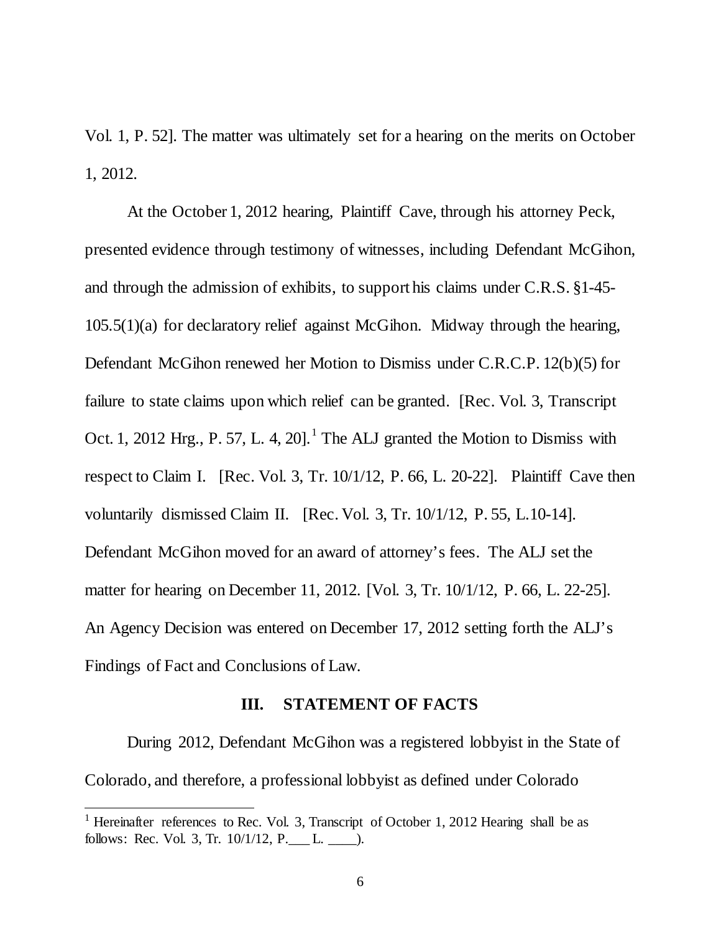Vol. 1, P. 52]. The matter was ultimately set for a hearing on the merits on October 1, 2012.

At the October 1, 2012 hearing, Plaintiff Cave, through his attorney Peck, presented evidence through testimony of witnesses, including Defendant McGihon, and through the admission of exhibits, to support his claims under C.R.S. §1-45- 105.5(1)(a) for declaratory relief against McGihon. Midway through the hearing, Defendant McGihon renewed her Motion to Dismiss under C.R.C.P. 12(b)(5) for failure to state claims upon which relief can be granted. [Rec. Vol. 3, Transcript Oct. [1](#page-5-0), 2012 Hrg., P. 57, L. 4, 20].<sup>1</sup> The ALJ granted the Motion to Dismiss with respect to Claim I. [Rec. Vol. 3, Tr. 10/1/12, P. 66, L. 20-22]. Plaintiff Cave then voluntarily dismissed Claim II. [Rec. Vol. 3, Tr. 10/1/12, P. 55, L.10-14]. Defendant McGihon moved for an award of attorney's fees. The ALJ set the matter for hearing on December 11, 2012. [Vol. 3, Tr. 10/1/12, P. 66, L. 22-25]. An Agency Decision was entered on December 17, 2012 setting forth the ALJ's Findings of Fact and Conclusions of Law.

## **III. STATEMENT OF FACTS**

During 2012, Defendant McGihon was a registered lobbyist in the State of Colorado, and therefore, a professional lobbyist as defined under Colorado

<span id="page-5-0"></span><sup>&</sup>lt;sup>1</sup> Hereinafter references to Rec. Vol. 3, Transcript of October 1, 2012 Hearing shall be as follows: Rec. Vol. 3, Tr. 10/1/12, P.\_\_\_ L. \_\_\_\_).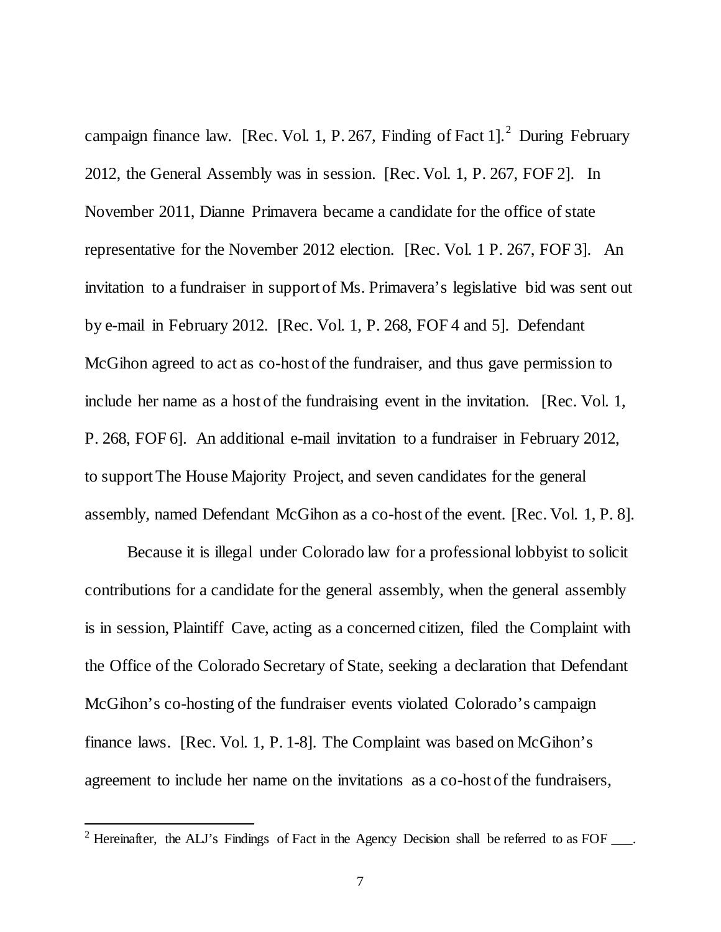campaign finance law. [Rec. Vol. 1, P. [2](#page-6-0)67, Finding of Fact 1].<sup>2</sup> During February 2012, the General Assembly was in session. [Rec. Vol. 1, P. 267, FOF 2]. In November 2011, Dianne Primavera became a candidate for the office of state representative for the November 2012 election. [Rec. Vol. 1 P. 267, FOF 3]. An invitation to a fundraiser in support of Ms. Primavera's legislative bid was sent out by e-mail in February 2012. [Rec. Vol. 1, P. 268, FOF 4 and 5]. Defendant McGihon agreed to act as co-host of the fundraiser, and thus gave permission to include her name as a host of the fundraising event in the invitation. [Rec. Vol. 1, P. 268, FOF 6]. An additional e-mail invitation to a fundraiser in February 2012, to support The House Majority Project, and seven candidates for the general assembly, named Defendant McGihon as a co-host of the event. [Rec. Vol. 1, P. 8].

Because it is illegal under Colorado law for a professional lobbyist to solicit contributions for a candidate for the general assembly, when the general assembly is in session, Plaintiff Cave, acting as a concerned citizen, filed the Complaint with the Office of the Colorado Secretary of State, seeking a declaration that Defendant McGihon's co-hosting of the fundraiser events violated Colorado's campaign finance laws. [Rec. Vol. 1, P. 1-8]. The Complaint was based on McGihon's agreement to include her name on the invitations as a co-host of the fundraisers,

<span id="page-6-0"></span><sup>&</sup>lt;sup>2</sup> Hereinafter, the ALJ's Findings of Fact in the Agency Decision shall be referred to as FOF  $\_\_\_\_\$ .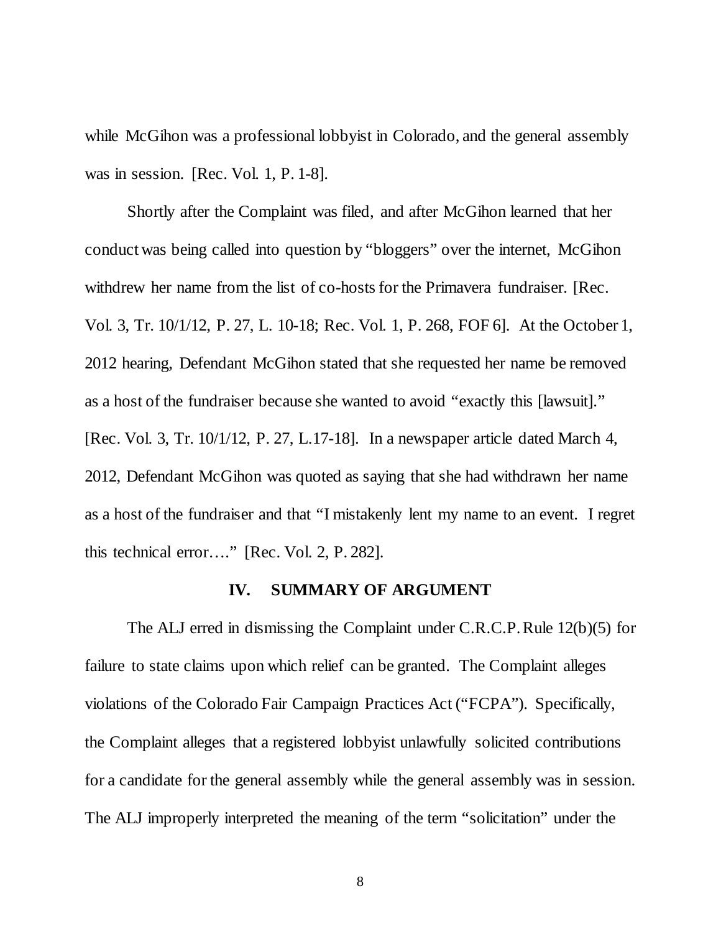while McGihon was a professional lobbyist in Colorado, and the general assembly was in session. [Rec. Vol. 1, P. 1-8].

Shortly after the Complaint was filed, and after McGihon learned that her conduct was being called into question by "bloggers" over the internet, McGihon withdrew her name from the list of co-hosts for the Primavera fundraiser. [Rec. Vol. 3, Tr. 10/1/12, P. 27, L. 10-18; Rec. Vol. 1, P. 268, FOF 6]. At the October 1, 2012 hearing, Defendant McGihon stated that she requested her name be removed as a host of the fundraiser because she wanted to avoid "exactly this [lawsuit]." [Rec. Vol. 3, Tr. 10/1/12, P. 27, L.17-18]. In a newspaper article dated March 4, 2012, Defendant McGihon was quoted as saying that she had withdrawn her name as a host of the fundraiser and that "I mistakenly lent my name to an event. I regret this technical error…." [Rec. Vol. 2, P. 282].

## **IV. SUMMARY OF ARGUMENT**

The ALJ erred in dismissing the Complaint under C.R.C.P. Rule 12(b)(5) for failure to state claims upon which relief can be granted. The Complaint alleges violations of the Colorado Fair Campaign Practices Act ("FCPA"). Specifically, the Complaint alleges that a registered lobbyist unlawfully solicited contributions for a candidate for the general assembly while the general assembly was in session. The ALJ improperly interpreted the meaning of the term "solicitation" under the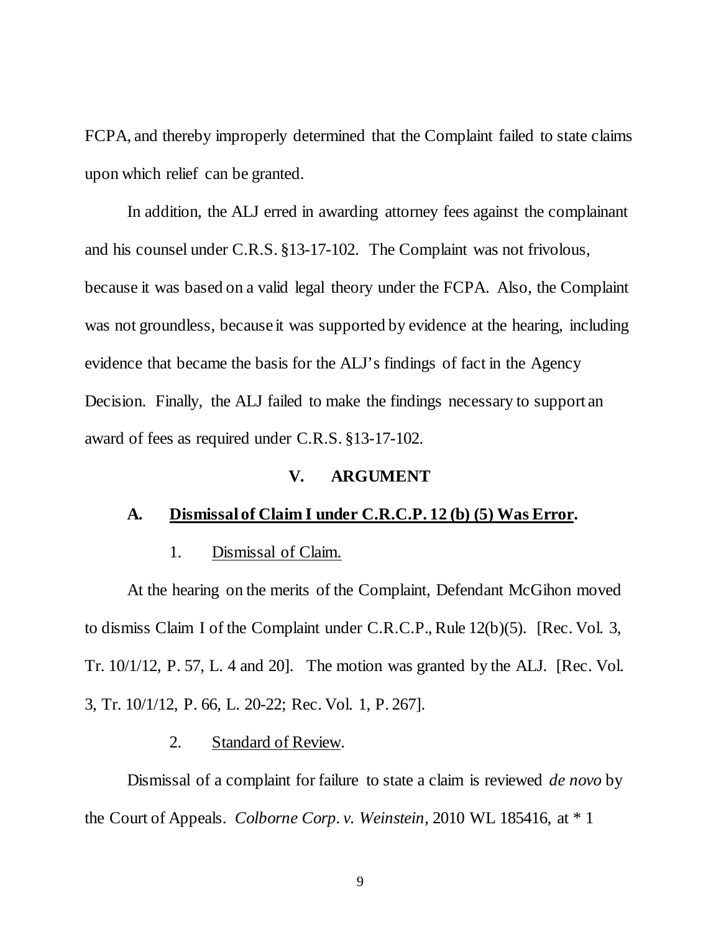FCPA, and thereby improperly determined that the Complaint failed to state claims upon which relief can be granted.

In addition, the ALJ erred in awarding attorney fees against the complainant and his counsel under C.R.S. §13-17-102. The Complaint was not frivolous, because it was based on a valid legal theory under the FCPA. Also, the Complaint was not groundless, because it was supported by evidence at the hearing, including evidence that became the basis for the ALJ's findings of fact in the Agency Decision. Finally, the ALJ failed to make the findings necessary to support an award of fees as required under C.R.S. §13-17-102.

#### **V. ARGUMENT**

## **A. Dismissal of Claim I under C.R.C.P. 12 (b) (5) Was Error.**

# 1. Dismissal of Claim.

At the hearing on the merits of the Complaint, Defendant McGihon moved to dismiss Claim I of the Complaint under C.R.C.P., Rule 12(b)(5). [Rec. Vol. 3, Tr. 10/1/12, P. 57, L. 4 and 20]. The motion was granted by the ALJ. [Rec. Vol. 3, Tr. 10/1/12, P. 66, L. 20-22; Rec. Vol. 1, P. 267].

#### 2. Standard of Review.

Dismissal of a complaint for failure to state a claim is reviewed *de novo* by the Court of Appeals. *Colborne Corp. v. Weinstein,* 2010 WL 185416, at \* 1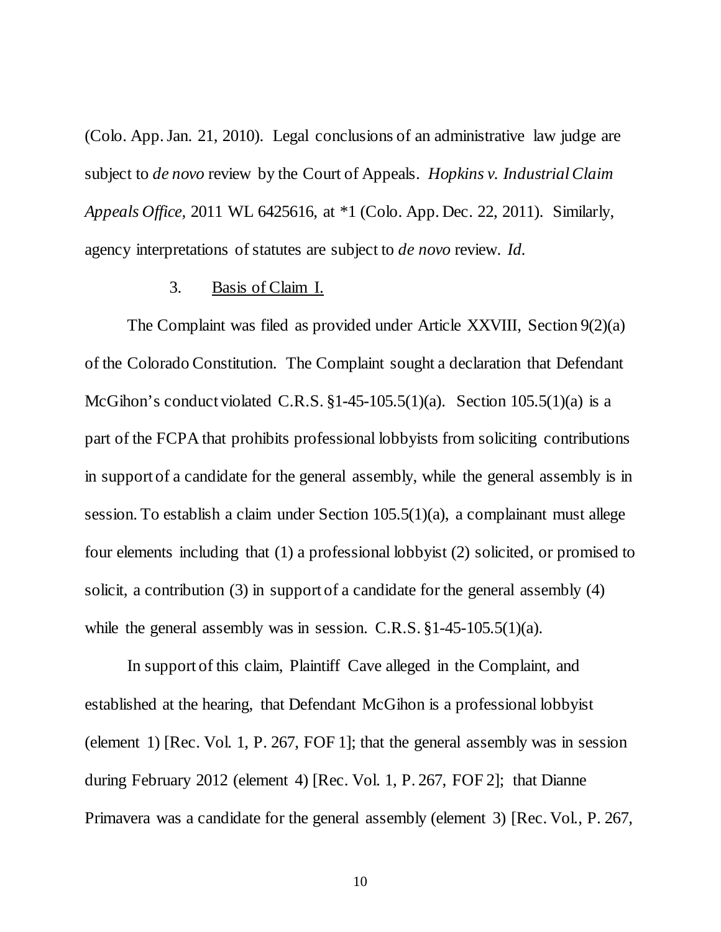(Colo. App. Jan. 21, 2010). Legal conclusions of an administrative law judge are subject to *de novo* review by the Court of Appeals. *Hopkins v. Industrial Claim Appeals Office,* 2011 WL 6425616, at \*1 (Colo. App. Dec. 22, 2011). Similarly, agency interpretations of statutes are subject to *de novo* review. *Id.*

# 3. Basis of Claim I.

The Complaint was filed as provided under Article XXVIII, Section 9(2)(a) of the Colorado Constitution. The Complaint sought a declaration that Defendant McGihon's conduct violated C.R.S.  $\S1-45-105.5(1)(a)$ . Section 105.5(1)(a) is a part of the FCPA that prohibits professional lobbyists from soliciting contributions in support of a candidate for the general assembly, while the general assembly is in session. To establish a claim under Section 105.5(1)(a), a complainant must allege four elements including that (1) a professional lobbyist (2) solicited, or promised to solicit, a contribution (3) in support of a candidate for the general assembly (4) while the general assembly was in session. C.R.S. §1-45-105.5(1)(a).

In support of this claim, Plaintiff Cave alleged in the Complaint, and established at the hearing, that Defendant McGihon is a professional lobbyist (element 1) [Rec. Vol. 1, P. 267, FOF 1]; that the general assembly was in session during February 2012 (element 4) [Rec. Vol. 1, P. 267, FOF 2]; that Dianne Primavera was a candidate for the general assembly (element 3) [Rec. Vol., P. 267,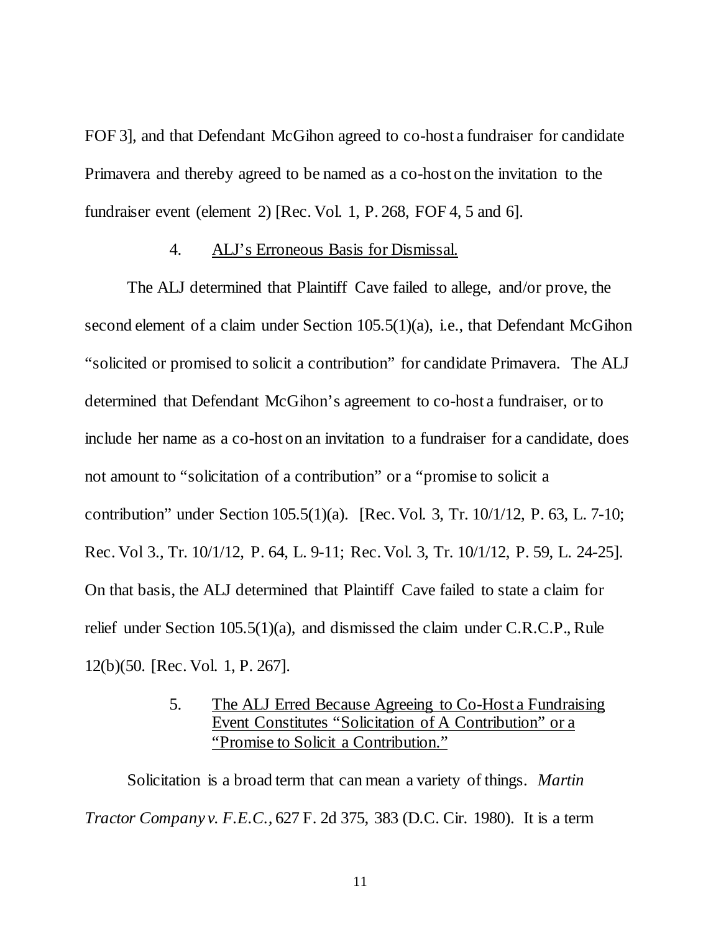FOF 3], and that Defendant McGihon agreed to co-host a fundraiser for candidate Primavera and thereby agreed to be named as a co-host on the invitation to the fundraiser event (element 2) [Rec. Vol. 1, P. 268, FOF 4, 5 and 6].

#### 4. ALJ's Erroneous Basis for Dismissal.

The ALJ determined that Plaintiff Cave failed to allege, and/or prove, the second element of a claim under Section 105.5(1)(a), i.e., that Defendant McGihon "solicited or promised to solicit a contribution" for candidate Primavera. The ALJ determined that Defendant McGihon's agreement to co-host a fundraiser, or to include her name as a co-host on an invitation to a fundraiser for a candidate, does not amount to "solicitation of a contribution" or a "promise to solicit a contribution" under Section 105.5(1)(a). [Rec. Vol. 3, Tr. 10/1/12, P. 63, L. 7-10; Rec. Vol 3., Tr. 10/1/12, P. 64, L. 9-11; Rec. Vol. 3, Tr. 10/1/12, P. 59, L. 24-25]. On that basis, the ALJ determined that Plaintiff Cave failed to state a claim for relief under Section 105.5(1)(a), and dismissed the claim under C.R.C.P., Rule 12(b)(50. [Rec. Vol. 1, P. 267].

# 5. The ALJ Erred Because Agreeing to Co-Host a Fundraising Event Constitutes "Solicitation of A Contribution" or a "Promise to Solicit a Contribution."

Solicitation is a broad term that can mean a variety of things. *Martin Tractor Company v. F.E.C.,* 627 F. 2d 375, 383 (D.C. Cir. 1980). It is a term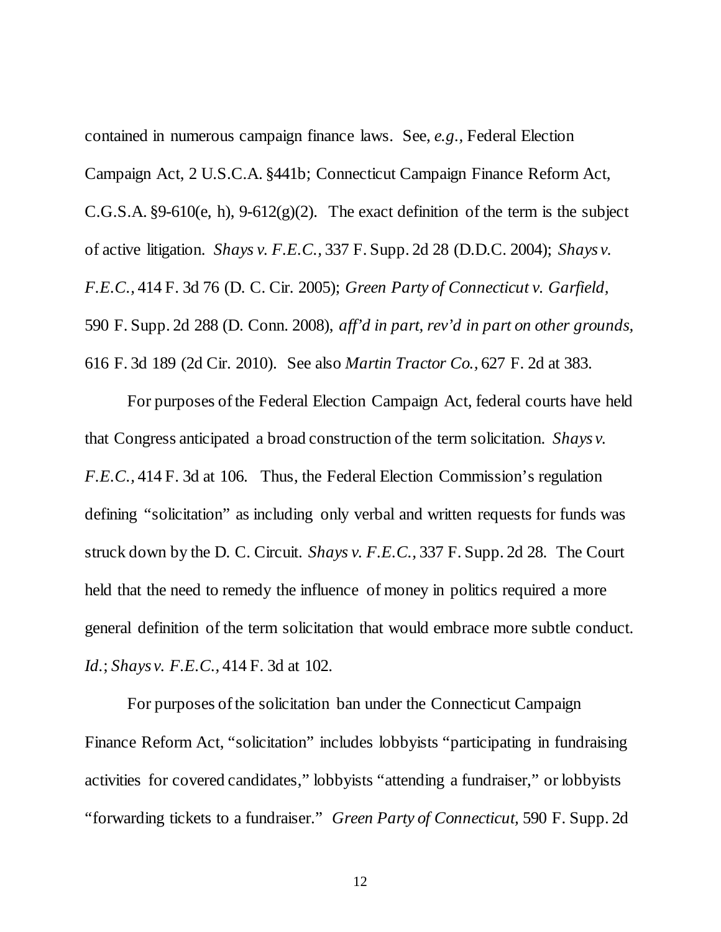contained in numerous campaign finance laws. See, *e.g.,* Federal Election Campaign Act, 2 U.S.C.A. §441b; Connecticut Campaign Finance Reform Act, C.G.S.A. §9-610(e, h), 9-612(g)(2). The exact definition of the term is the subject of active litigation. *Shays v. F.E.C.,* 337 F. Supp. 2d 28 (D.D.C. 2004); *Shays v. F.E.C.,* 414 F. 3d 76 (D. C. Cir. 2005); *Green Party of Connecticut v. Garfield,*  590 F. Supp. 2d 288 (D. Conn. 2008), *aff'd in part, rev'd in part on other grounds,*  616 F. 3d 189 (2d Cir. 2010). See also *Martin Tractor Co.,* 627 F. 2d at 383.

For purposes of the Federal Election Campaign Act, federal courts have held that Congress anticipated a broad construction of the term solicitation. *Shays v. F.E.C.,* 414 F. 3d at 106. Thus, the Federal Election Commission's regulation defining "solicitation" as including only verbal and written requests for funds was struck down by the D. C. Circuit. *Shays v. F.E.C.,* 337 F. Supp. 2d 28. The Court held that the need to remedy the influence of money in politics required a more general definition of the term solicitation that would embrace more subtle conduct. *Id.*; *Shays v. F.E.C.,* 414 F. 3d at 102.

For purposes of the solicitation ban under the Connecticut Campaign Finance Reform Act, "solicitation" includes lobbyists "participating in fundraising activities for covered candidates," lobbyists "attending a fundraiser," or lobbyists "forwarding tickets to a fundraiser." *Green Party of Connecticut,* 590 F. Supp. 2d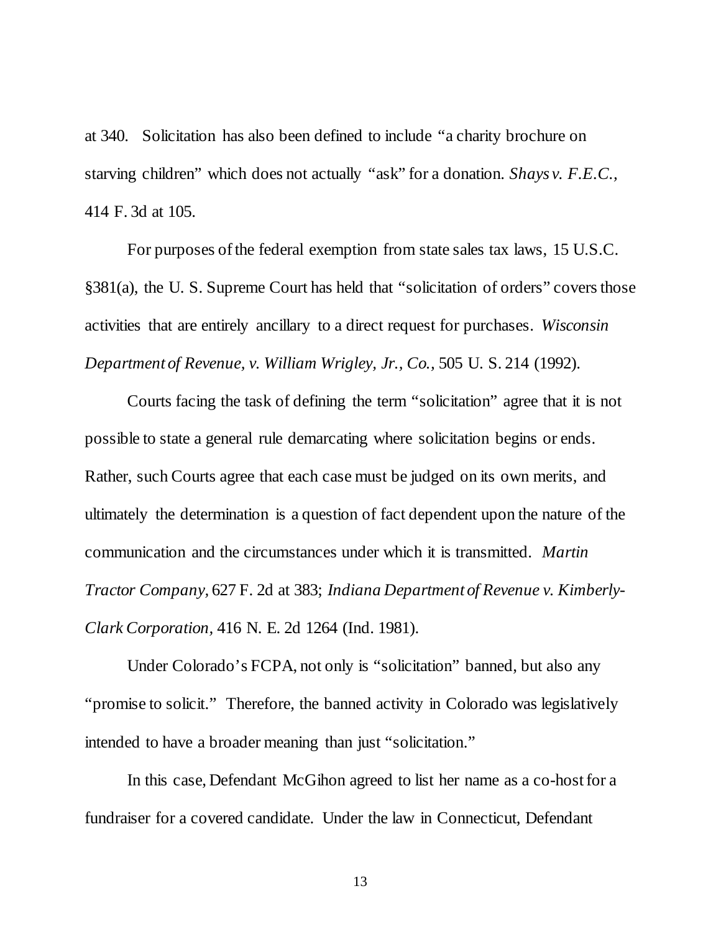at 340. Solicitation has also been defined to include "a charity brochure on starving children" which does not actually "ask" for a donation. *Shays v. F.E.C.,*  414 F. 3d at 105.

For purposes of the federal exemption from state sales tax laws, 15 U.S.C. §381(a), the U. S. Supreme Court has held that "solicitation of orders" covers those activities that are entirely ancillary to a direct request for purchases. *Wisconsin Department of Revenue, v. William Wrigley, Jr., Co.,* 505 U. S. 214 (1992).

Courts facing the task of defining the term "solicitation" agree that it is not possible to state a general rule demarcating where solicitation begins or ends. Rather, such Courts agree that each case must be judged on its own merits, and ultimately the determination is a question of fact dependent upon the nature of the communication and the circumstances under which it is transmitted. *Martin Tractor Company,* 627 F. 2d at 383; *Indiana Department of Revenue v. Kimberly-Clark Corporation,* 416 N. E. 2d 1264 (Ind. 1981).

Under Colorado's FCPA, not only is "solicitation" banned, but also any "promise to solicit." Therefore, the banned activity in Colorado was legislatively intended to have a broader meaning than just "solicitation."

In this case, Defendant McGihon agreed to list her name as a co-host for a fundraiser for a covered candidate. Under the law in Connecticut, Defendant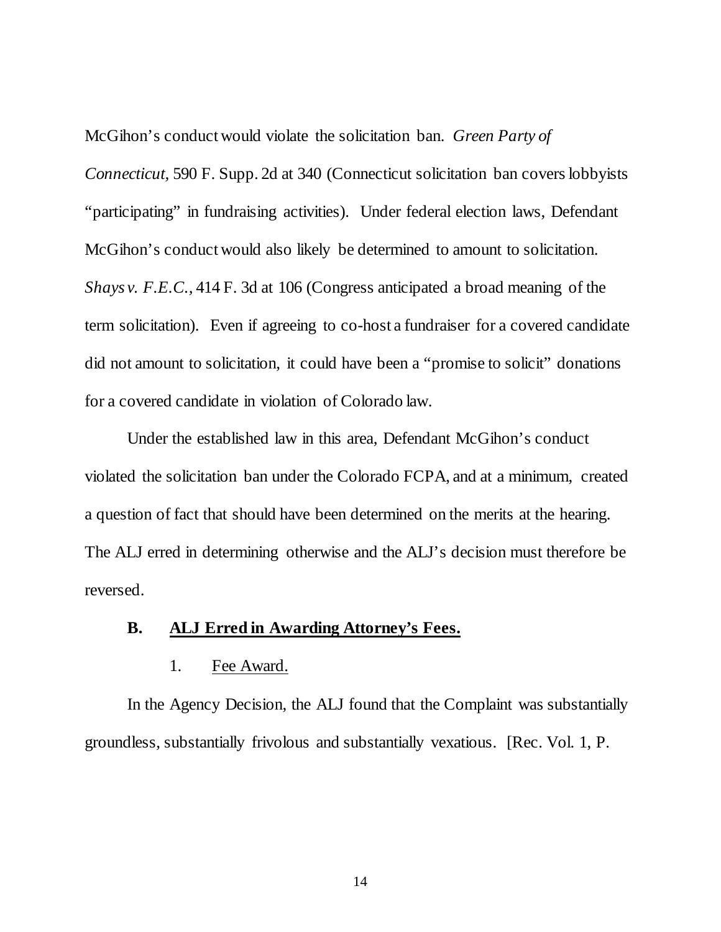McGihon's conduct would violate the solicitation ban. *Green Party of Connecticut,* 590 F. Supp. 2d at 340 (Connecticut solicitation ban covers lobbyists "participating" in fundraising activities). Under federal election laws, Defendant McGihon's conduct would also likely be determined to amount to solicitation. *Shays v. F.E.C.,* 414 F. 3d at 106 (Congress anticipated a broad meaning of the term solicitation). Even if agreeing to co-host a fundraiser for a covered candidate did not amount to solicitation, it could have been a "promise to solicit" donations for a covered candidate in violation of Colorado law.

Under the established law in this area, Defendant McGihon's conduct violated the solicitation ban under the Colorado FCPA, and at a minimum, created a question of fact that should have been determined on the merits at the hearing. The ALJ erred in determining otherwise and the ALJ's decision must therefore be reversed.

# **B. ALJ Erred in Awarding Attorney's Fees.**

## 1. Fee Award.

In the Agency Decision, the ALJ found that the Complaint was substantially groundless, substantially frivolous and substantially vexatious. [Rec. Vol. 1, P.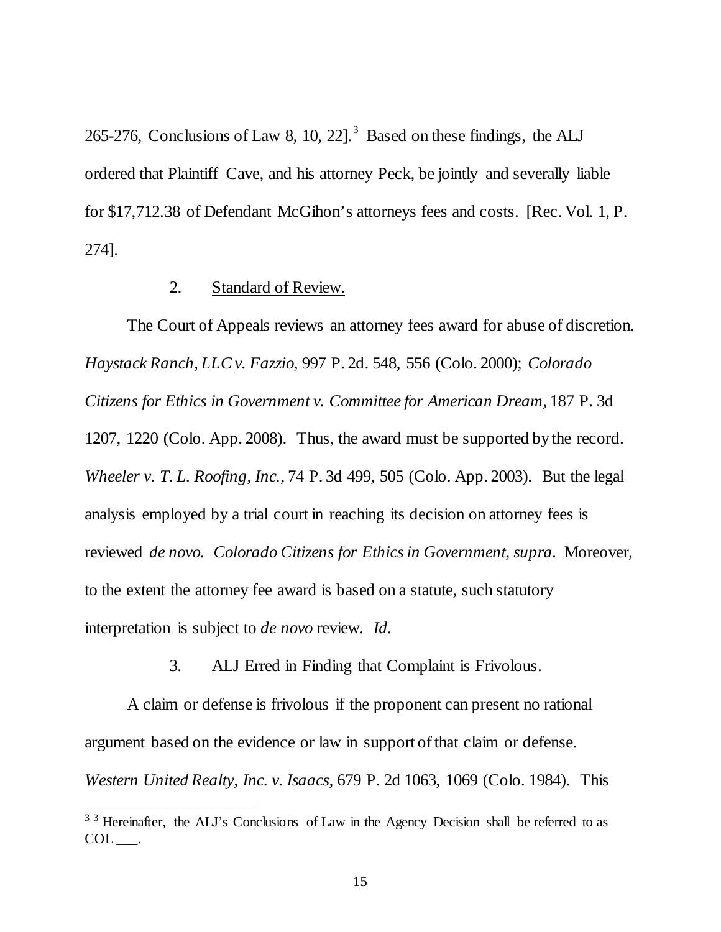265-276, Conclusions of Law 8, 10, 22].<sup>[3](#page-14-0)</sup> Based on these findings, the ALJ ordered that Plaintiff Cave, and his attorney Peck, be jointly and severally liable for \$17,712.38 of Defendant McGihon's attorneys fees and costs. [Rec. Vol. 1, P. 274].

# 2. Standard of Review.

The Court of Appeals reviews an attorney fees award for abuse of discretion. *Haystack Ranch, LLC v. Fazzio,* 997 P. 2d. 548, 556 (Colo. 2000); *Colorado Citizens for Ethics in Government v. Committee for American Dream,* 187 P. 3d 1207, 1220 (Colo. App. 2008). Thus, the award must be supported by the record. *Wheeler v. T. L. Roofing, Inc.,* 74 P. 3d 499, 505 (Colo. App. 2003). But the legal analysis employed by a trial court in reaching its decision on attorney fees is reviewed *de novo. Colorado Citizens for Ethics in Government, supra.* Moreover, to the extent the attorney fee award is based on a statute, such statutory interpretation is subject to *de novo* review. *Id.*

#### 3. ALJ Erred in Finding that Complaint is Frivolous.

A claim or defense is frivolous if the proponent can present no rational argument based on the evidence or law in support of that claim or defense. *Western United Realty, Inc. v. Isaacs,* 679 P. 2d 1063, 1069 (Colo. 1984). This

<span id="page-14-0"></span><sup>&</sup>lt;sup>3</sup> <sup>3</sup> Hereinafter, the ALJ's Conclusions of Law in the Agency Decision shall be referred to as  $COL$ .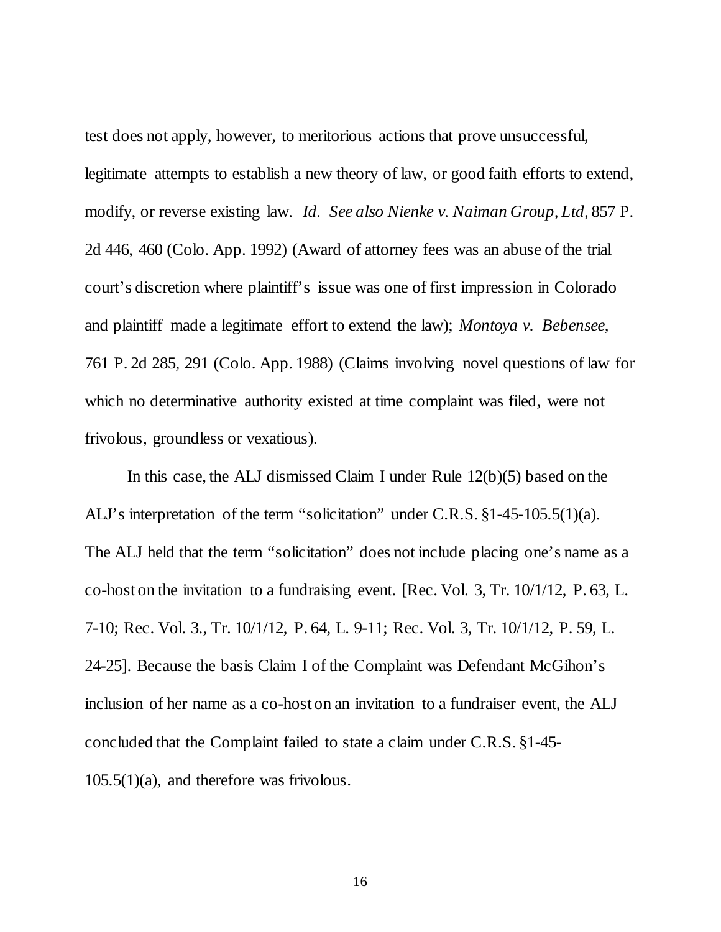test does not apply, however, to meritorious actions that prove unsuccessful, legitimate attempts to establish a new theory of law, or good faith efforts to extend, modify, or reverse existing law. *Id. See also Nienke v. Naiman Group, Ltd,* 857 P. 2d 446, 460 (Colo. App. 1992) (Award of attorney fees was an abuse of the trial court's discretion where plaintiff's issue was one of first impression in Colorado and plaintiff made a legitimate effort to extend the law); *Montoya v. Bebensee,*  761 P. 2d 285, 291 (Colo. App. 1988) (Claims involving novel questions of law for which no determinative authority existed at time complaint was filed, were not frivolous, groundless or vexatious).

In this case, the ALJ dismissed Claim I under Rule 12(b)(5) based on the ALJ's interpretation of the term "solicitation" under C.R.S. §1-45-105.5(1)(a). The ALJ held that the term "solicitation" does not include placing one's name as a co-host on the invitation to a fundraising event. [Rec. Vol. 3, Tr. 10/1/12, P. 63, L. 7-10; Rec. Vol. 3., Tr. 10/1/12, P. 64, L. 9-11; Rec. Vol. 3, Tr. 10/1/12, P. 59, L. 24-25]. Because the basis Claim I of the Complaint was Defendant McGihon's inclusion of her name as a co-host on an invitation to a fundraiser event, the ALJ concluded that the Complaint failed to state a claim under C.R.S. §1-45- 105.5(1)(a), and therefore was frivolous.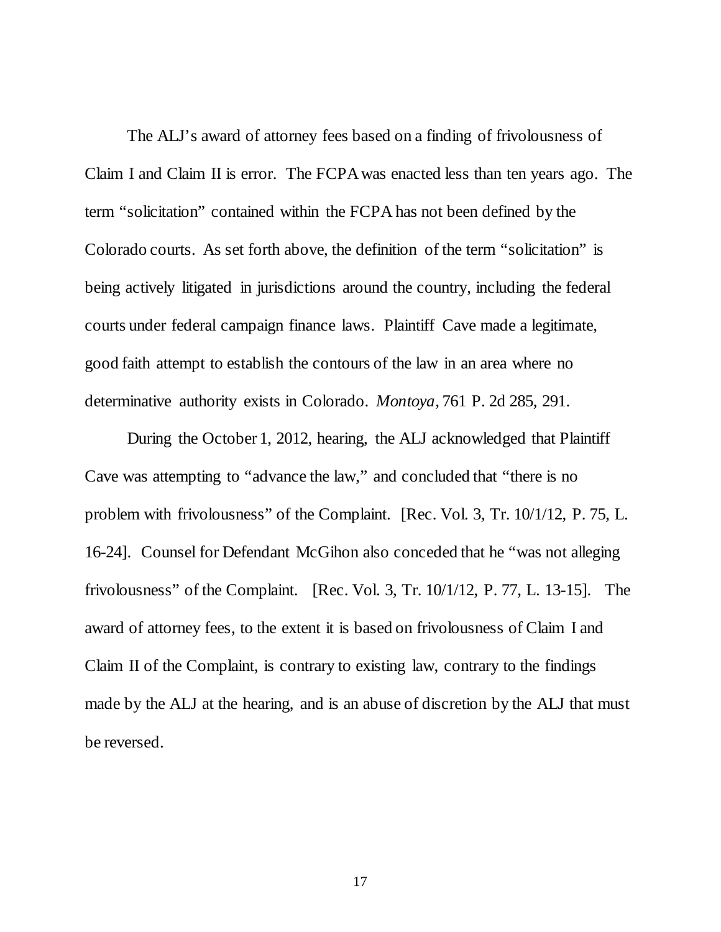The ALJ's award of attorney fees based on a finding of frivolousness of Claim I and Claim II is error. The FCPA was enacted less than ten years ago. The term "solicitation" contained within the FCPA has not been defined by the Colorado courts. As set forth above, the definition of the term "solicitation" is being actively litigated in jurisdictions around the country, including the federal courts under federal campaign finance laws. Plaintiff Cave made a legitimate, good faith attempt to establish the contours of the law in an area where no determinative authority exists in Colorado. *Montoya,* 761 P. 2d 285, 291.

During the October 1, 2012, hearing, the ALJ acknowledged that Plaintiff Cave was attempting to "advance the law," and concluded that "there is no problem with frivolousness" of the Complaint. [Rec. Vol. 3, Tr. 10/1/12, P. 75, L. 16-24]. Counsel for Defendant McGihon also conceded that he "was not alleging frivolousness" of the Complaint. [Rec. Vol. 3, Tr. 10/1/12, P. 77, L. 13-15]. The award of attorney fees, to the extent it is based on frivolousness of Claim I and Claim II of the Complaint, is contrary to existing law, contrary to the findings made by the ALJ at the hearing, and is an abuse of discretion by the ALJ that must be reversed.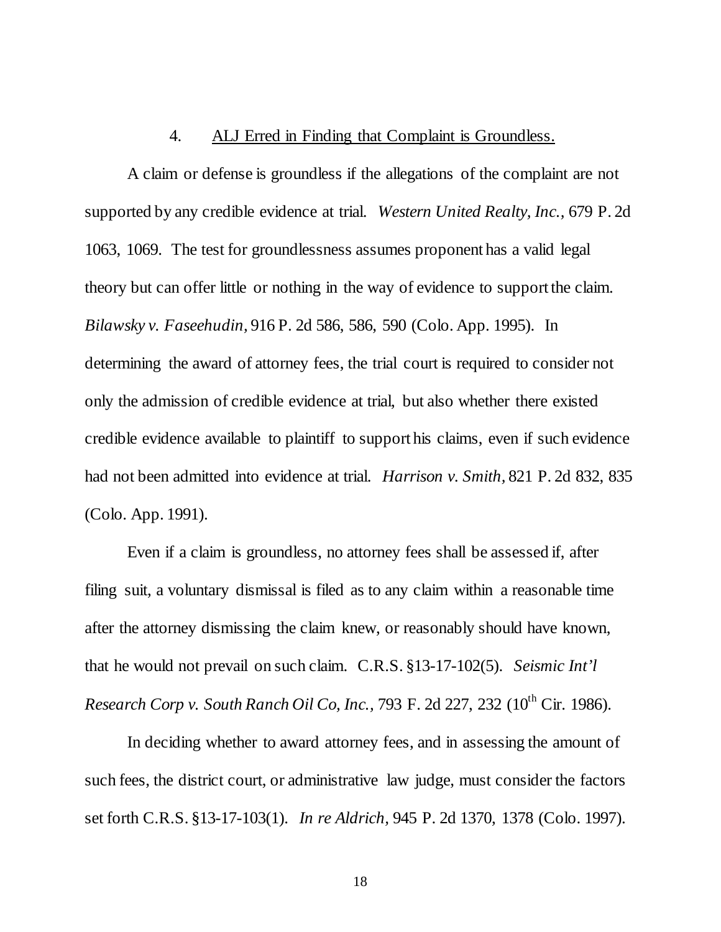## 4. ALJ Erred in Finding that Complaint is Groundless.

A claim or defense is groundless if the allegations of the complaint are not supported by any credible evidence at trial. *Western United Realty, Inc.,* 679 P. 2d 1063, 1069. The test for groundlessness assumes proponent has a valid legal theory but can offer little or nothing in the way of evidence to support the claim. *Bilawsky v. Faseehudin,* 916 P. 2d 586, 586, 590 (Colo. App. 1995). In determining the award of attorney fees, the trial court is required to consider not only the admission of credible evidence at trial, but also whether there existed credible evidence available to plaintiff to support his claims, even if such evidence had not been admitted into evidence at trial. *Harrison v. Smith,* 821 P. 2d 832, 835 (Colo. App. 1991).

Even if a claim is groundless, no attorney fees shall be assessed if, after filing suit, a voluntary dismissal is filed as to any claim within a reasonable time after the attorney dismissing the claim knew, or reasonably should have known, that he would not prevail on such claim. C.R.S. §13-17-102(5). *Seismic Int'l Research Corp v. South Ranch Oil Co, Inc., 793 F. 2d 227, 232 (10<sup>th</sup> Cir. 1986).* 

In deciding whether to award attorney fees, and in assessing the amount of such fees, the district court, or administrative law judge, must consider the factors set forth C.R.S. §13-17-103(1). *In re Aldrich,* 945 P. 2d 1370, 1378 (Colo. 1997).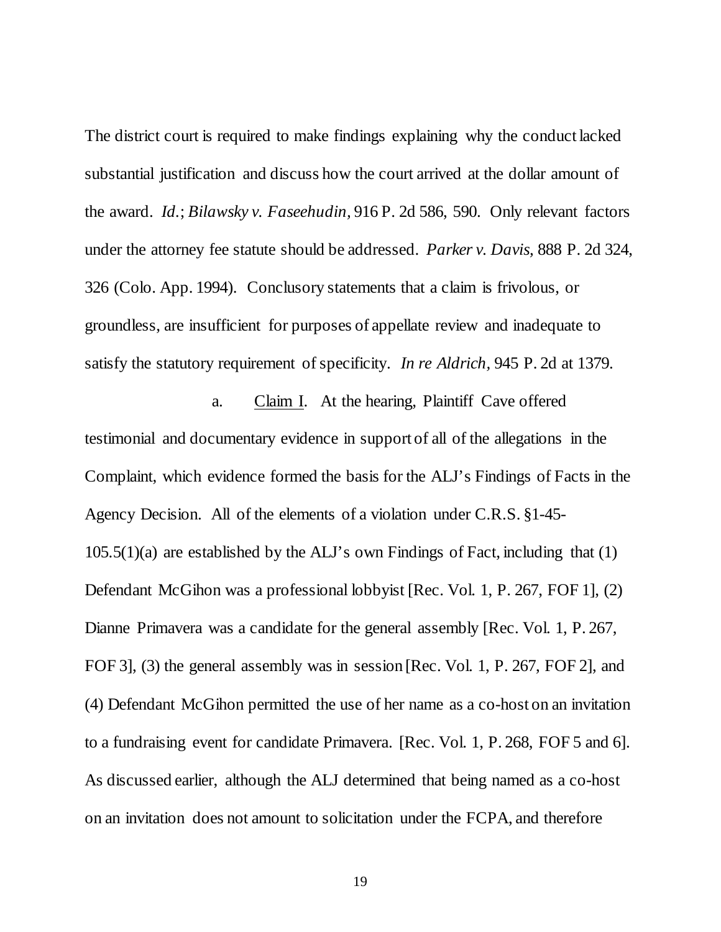The district court is required to make findings explaining why the conduct lacked substantial justification and discuss how the court arrived at the dollar amount of the award. *Id.*; *Bilawsky v. Faseehudin,* 916 P. 2d 586, 590. Only relevant factors under the attorney fee statute should be addressed. *Parker v. Davis,* 888 P. 2d 324, 326 (Colo. App. 1994). Conclusory statements that a claim is frivolous, or groundless, are insufficient for purposes of appellate review and inadequate to satisfy the statutory requirement of specificity. *In re Aldrich,* 945 P. 2d at 1379.

a. Claim I. At the hearing, Plaintiff Cave offered testimonial and documentary evidence in support of all of the allegations in the Complaint, which evidence formed the basis for the ALJ's Findings of Facts in the Agency Decision. All of the elements of a violation under C.R.S. §1-45-  $105.5(1)(a)$  are established by the ALJ's own Findings of Fact, including that (1) Defendant McGihon was a professional lobbyist [Rec. Vol. 1, P. 267, FOF 1], (2) Dianne Primavera was a candidate for the general assembly [Rec. Vol. 1, P. 267, FOF 3], (3) the general assembly was in session [Rec. Vol. 1, P. 267, FOF 2], and (4) Defendant McGihon permitted the use of her name as a co-host on an invitation to a fundraising event for candidate Primavera. [Rec. Vol. 1, P. 268, FOF 5 and 6]. As discussed earlier, although the ALJ determined that being named as a co-host on an invitation does not amount to solicitation under the FCPA, and therefore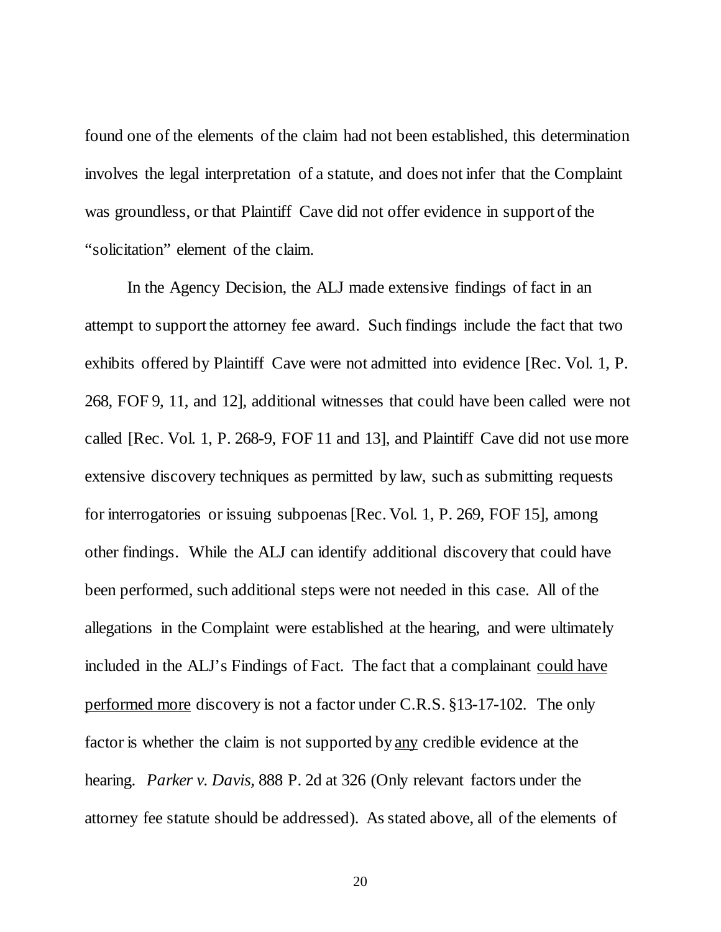found one of the elements of the claim had not been established, this determination involves the legal interpretation of a statute, and does not infer that the Complaint was groundless, or that Plaintiff Cave did not offer evidence in support of the "solicitation" element of the claim.

In the Agency Decision, the ALJ made extensive findings of fact in an attempt to support the attorney fee award. Such findings include the fact that two exhibits offered by Plaintiff Cave were not admitted into evidence [Rec. Vol. 1, P. 268, FOF 9, 11, and 12], additional witnesses that could have been called were not called [Rec. Vol. 1, P. 268-9, FOF 11 and 13], and Plaintiff Cave did not use more extensive discovery techniques as permitted by law, such as submitting requests for interrogatories or issuing subpoenas [Rec. Vol. 1, P. 269, FOF 15], among other findings. While the ALJ can identify additional discovery that could have been performed, such additional steps were not needed in this case. All of the allegations in the Complaint were established at the hearing, and were ultimately included in the ALJ's Findings of Fact. The fact that a complainant could have performed more discovery is not a factor under C.R.S. §13-17-102. The only factor is whether the claim is not supported by any credible evidence at the hearing. *Parker v. Davis,* 888 P. 2d at 326 (Only relevant factors under the attorney fee statute should be addressed). As stated above, all of the elements of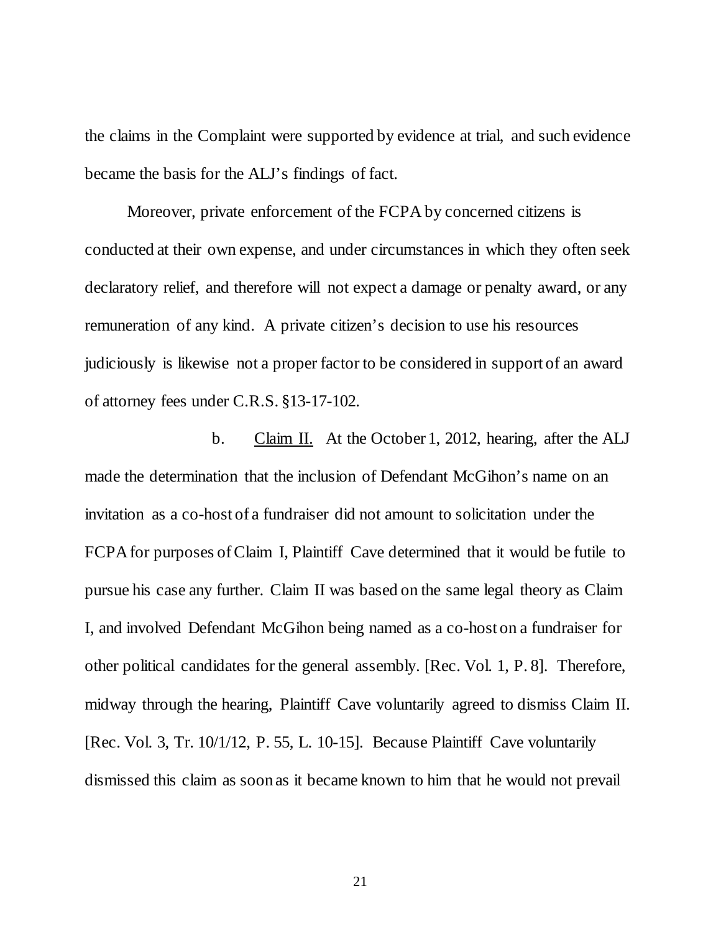the claims in the Complaint were supported by evidence at trial, and such evidence became the basis for the ALJ's findings of fact.

Moreover, private enforcement of the FCPA by concerned citizens is conducted at their own expense, and under circumstances in which they often seek declaratory relief, and therefore will not expect a damage or penalty award, or any remuneration of any kind. A private citizen's decision to use his resources judiciously is likewise not a proper factor to be considered in support of an award of attorney fees under C.R.S. §13-17-102.

b. Claim II. At the October 1, 2012, hearing, after the ALJ made the determination that the inclusion of Defendant McGihon's name on an invitation as a co-host of a fundraiser did not amount to solicitation under the FCPA for purposes of Claim I, Plaintiff Cave determined that it would be futile to pursue his case any further. Claim II was based on the same legal theory as Claim I, and involved Defendant McGihon being named as a co-host on a fundraiser for other political candidates for the general assembly. [Rec. Vol. 1, P. 8]. Therefore, midway through the hearing, Plaintiff Cave voluntarily agreed to dismiss Claim II. [Rec. Vol. 3, Tr. 10/1/12, P. 55, L. 10-15]. Because Plaintiff Cave voluntarily dismissed this claim as soon as it became known to him that he would not prevail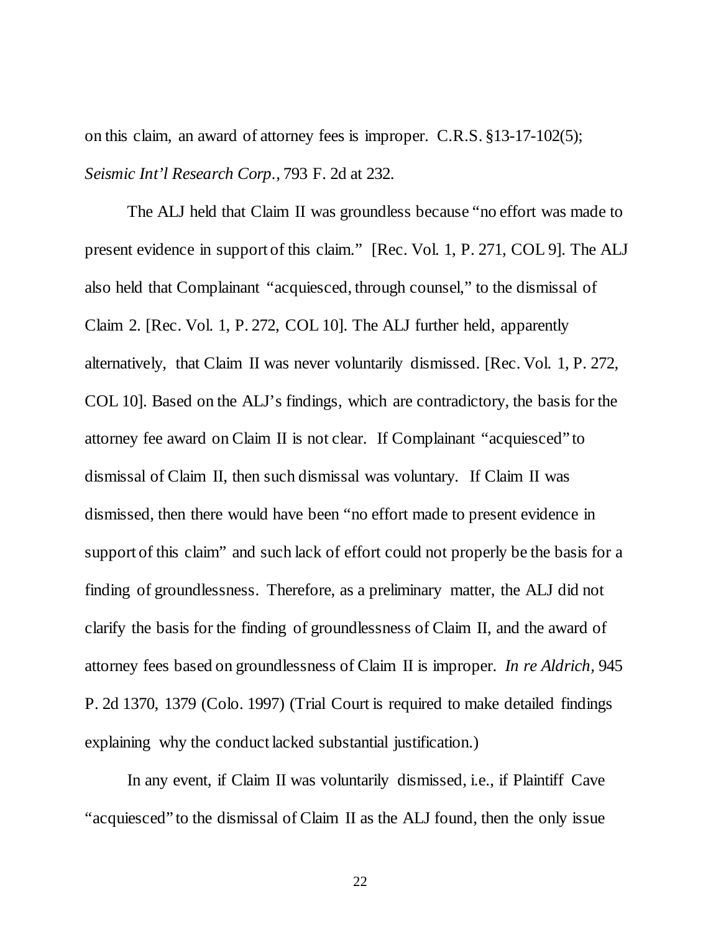on this claim, an award of attorney fees is improper. C.R.S. §13-17-102(5); *Seismic Int'l Research Corp.,* 793 F. 2d at 232.

The ALJ held that Claim II was groundless because "no effort was made to present evidence in support of this claim." [Rec. Vol. 1, P. 271, COL 9]. The ALJ also held that Complainant "acquiesced, through counsel," to the dismissal of Claim 2. [Rec. Vol. 1, P. 272, COL 10]. The ALJ further held, apparently alternatively, that Claim II was never voluntarily dismissed. [Rec. Vol. 1, P. 272, COL 10]. Based on the ALJ's findings, which are contradictory, the basis for the attorney fee award on Claim II is not clear. If Complainant "acquiesced" to dismissal of Claim II, then such dismissal was voluntary. If Claim II was dismissed, then there would have been "no effort made to present evidence in support of this claim" and such lack of effort could not properly be the basis for a finding of groundlessness. Therefore, as a preliminary matter, the ALJ did not clarify the basis for the finding of groundlessness of Claim II, and the award of attorney fees based on groundlessness of Claim II is improper. *In re Aldrich,* 945 P. 2d 1370, 1379 (Colo. 1997) (Trial Court is required to make detailed findings explaining why the conduct lacked substantial justification.)

In any event, if Claim II was voluntarily dismissed, i.e., if Plaintiff Cave "acquiesced" to the dismissal of Claim II as the ALJ found, then the only issue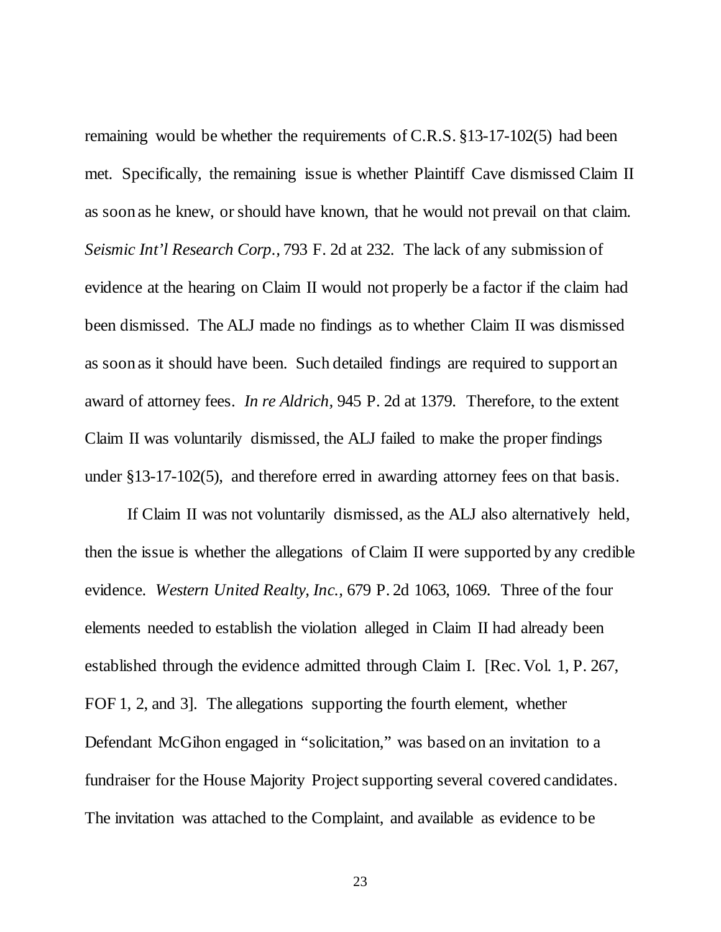remaining would be whether the requirements of C.R.S. §13-17-102(5) had been met. Specifically, the remaining issue is whether Plaintiff Cave dismissed Claim II as soon as he knew, or should have known, that he would not prevail on that claim. *Seismic Int'l Research Corp.,* 793 F. 2d at 232. The lack of any submission of evidence at the hearing on Claim II would not properly be a factor if the claim had been dismissed. The ALJ made no findings as to whether Claim II was dismissed as soon as it should have been. Such detailed findings are required to support an award of attorney fees. *In re Aldrich,* 945 P. 2d at 1379. Therefore, to the extent Claim II was voluntarily dismissed, the ALJ failed to make the proper findings under §13-17-102(5), and therefore erred in awarding attorney fees on that basis.

If Claim II was not voluntarily dismissed, as the ALJ also alternatively held, then the issue is whether the allegations of Claim II were supported by any credible evidence. *Western United Realty, Inc.,* 679 P. 2d 1063, 1069. Three of the four elements needed to establish the violation alleged in Claim II had already been established through the evidence admitted through Claim I. [Rec. Vol. 1, P. 267, FOF 1, 2, and 3]. The allegations supporting the fourth element, whether Defendant McGihon engaged in "solicitation," was based on an invitation to a fundraiser for the House Majority Project supporting several covered candidates. The invitation was attached to the Complaint, and available as evidence to be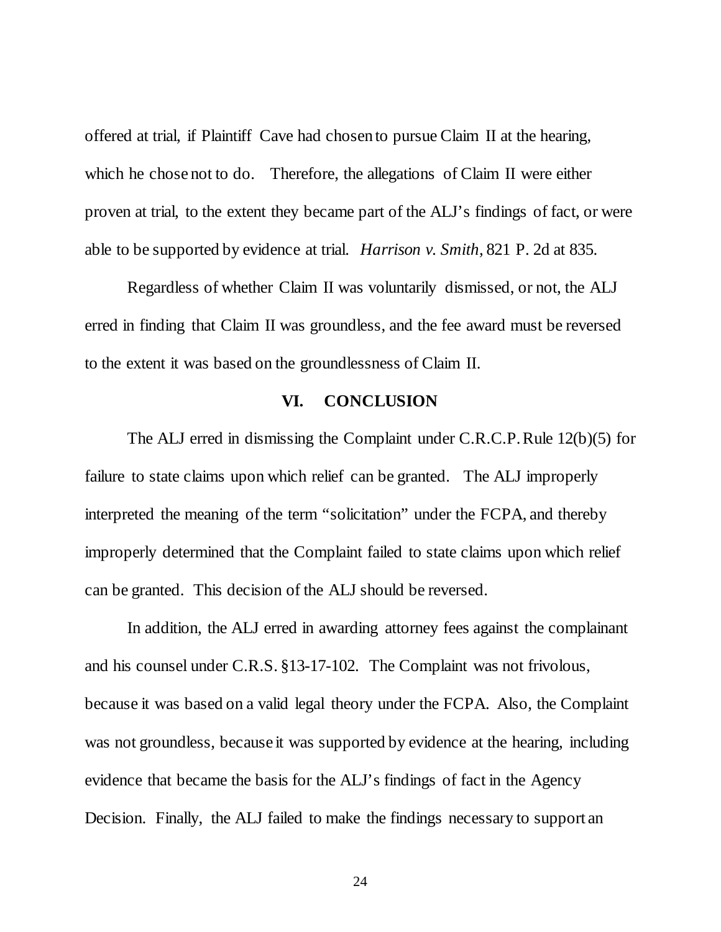offered at trial, if Plaintiff Cave had chosen to pursue Claim II at the hearing, which he chose not to do. Therefore, the allegations of Claim II were either proven at trial, to the extent they became part of the ALJ's findings of fact, or were able to be supported by evidence at trial. *Harrison v. Smith,* 821 P. 2d at 835.

Regardless of whether Claim II was voluntarily dismissed, or not, the ALJ erred in finding that Claim II was groundless, and the fee award must be reversed to the extent it was based on the groundlessness of Claim II.

## **VI. CONCLUSION**

The ALJ erred in dismissing the Complaint under C.R.C.P. Rule 12(b)(5) for failure to state claims upon which relief can be granted. The ALJ improperly interpreted the meaning of the term "solicitation" under the FCPA, and thereby improperly determined that the Complaint failed to state claims upon which relief can be granted. This decision of the ALJ should be reversed.

In addition, the ALJ erred in awarding attorney fees against the complainant and his counsel under C.R.S. §13-17-102. The Complaint was not frivolous, because it was based on a valid legal theory under the FCPA. Also, the Complaint was not groundless, because it was supported by evidence at the hearing, including evidence that became the basis for the ALJ's findings of fact in the Agency Decision. Finally, the ALJ failed to make the findings necessary to support an